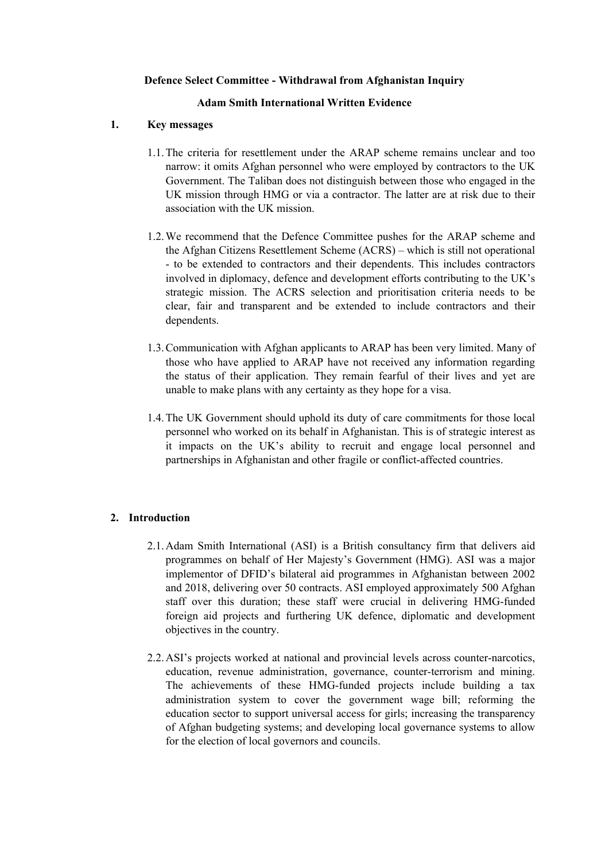### **Defence Select Committee - Withdrawal from Afghanistan Inquiry**

### **Adam Smith International Written Evidence**

### **1. Key messages**

- 1.1.The criteria for resettlement under the ARAP scheme remains unclear and too narrow: it omits Afghan personnel who were employed by contractors to the UK Government. The Taliban does not distinguish between those who engaged in the UK mission through HMG or via a contractor. The latter are at risk due to their association with the UK mission.
- 1.2.We recommend that the Defence Committee pushes for the ARAP scheme and the Afghan Citizens Resettlement Scheme (ACRS) – which is still not operational - to be extended to contractors and their dependents. This includes contractors involved in diplomacy, defence and development efforts contributing to the UK's strategic mission. The ACRS selection and prioritisation criteria needs to be clear, fair and transparent and be extended to include contractors and their dependents.
- 1.3.Communication with Afghan applicants to ARAP has been very limited. Many of those who have applied to ARAP have not received any information regarding the status of their application. They remain fearful of their lives and yet are unable to make plans with any certainty as they hope for a visa.
- 1.4.The UK Government should uphold its duty of care commitments for those local personnel who worked on its behalf in Afghanistan. This is of strategic interest as it impacts on the UK's ability to recruit and engage local personnel and partnerships in Afghanistan and other fragile or conflict-affected countries.

# **2. Introduction**

- 2.1.Adam Smith International (ASI) is a British consultancy firm that delivers aid programmes on behalf of Her Majesty's Government (HMG). ASI was a major implementor of DFID's bilateral aid programmes in Afghanistan between 2002 and 2018, delivering over 50 contracts. ASI employed approximately 500 Afghan staff over this duration; these staff were crucial in delivering HMG-funded foreign aid projects and furthering UK defence, diplomatic and development objectives in the country.
- 2.2.ASI's projects worked at national and provincial levels across counter-narcotics, education, revenue administration, governance, counter-terrorism and mining. The achievements of these HMG-funded projects include building a tax administration system to cover the government wage bill; reforming the education sector to support universal access for girls; increasing the transparency of Afghan budgeting systems; and developing local governance systems to allow for the election of local governors and councils.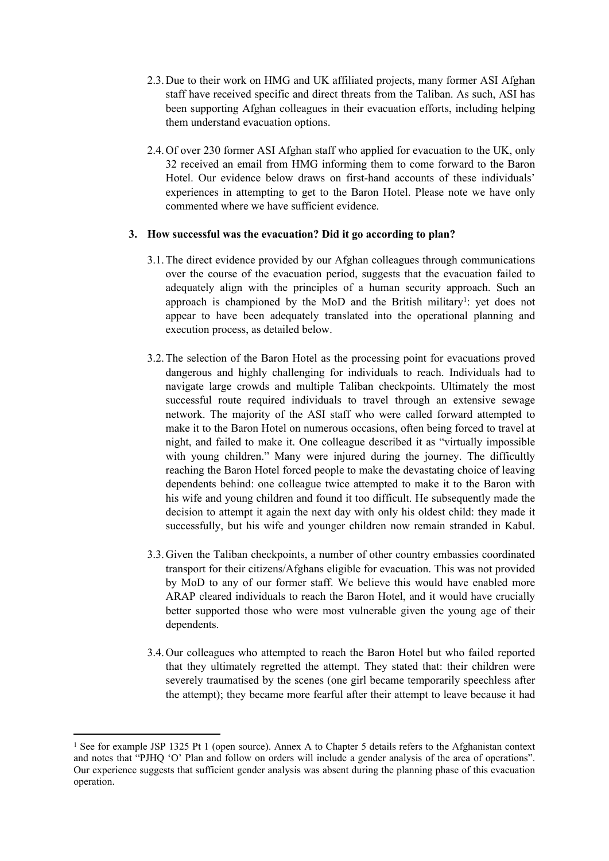- 2.3.Due to their work on HMG and UK affiliated projects, many former ASI Afghan staff have received specific and direct threats from the Taliban. As such, ASI has been supporting Afghan colleagues in their evacuation efforts, including helping them understand evacuation options.
- 2.4.Of over 230 former ASI Afghan staff who applied for evacuation to the UK, only 32 received an email from HMG informing them to come forward to the Baron Hotel. Our evidence below draws on first-hand accounts of these individuals' experiences in attempting to get to the Baron Hotel. Please note we have only commented where we have sufficient evidence.

## **3. How successful was the evacuation? Did it go according to plan?**

- 3.1.The direct evidence provided by our Afghan colleagues through communications over the course of the evacuation period, suggests that the evacuation failed to adequately align with the principles of a human security approach. Such an approach is championed by the MoD and the British military<sup>1</sup>: yet does not appear to have been adequately translated into the operational planning and execution process, as detailed below.
- 3.2.The selection of the Baron Hotel as the processing point for evacuations proved dangerous and highly challenging for individuals to reach. Individuals had to navigate large crowds and multiple Taliban checkpoints. Ultimately the most successful route required individuals to travel through an extensive sewage network. The majority of the ASI staff who were called forward attempted to make it to the Baron Hotel on numerous occasions, often being forced to travel at night, and failed to make it. One colleague described it as "virtually impossible with young children." Many were injured during the journey. The difficultly reaching the Baron Hotel forced people to make the devastating choice of leaving dependents behind: one colleague twice attempted to make it to the Baron with his wife and young children and found it too difficult. He subsequently made the decision to attempt it again the next day with only his oldest child: they made it successfully, but his wife and younger children now remain stranded in Kabul.
- 3.3.Given the Taliban checkpoints, a number of other country embassies coordinated transport for their citizens/Afghans eligible for evacuation. This was not provided by MoD to any of our former staff. We believe this would have enabled more ARAP cleared individuals to reach the Baron Hotel, and it would have crucially better supported those who were most vulnerable given the young age of their dependents.
- 3.4.Our colleagues who attempted to reach the Baron Hotel but who failed reported that they ultimately regretted the attempt. They stated that: their children were severely traumatised by the scenes (one girl became temporarily speechless after the attempt); they became more fearful after their attempt to leave because it had

<sup>1</sup> See for example JSP 1325 Pt 1 (open source). Annex A to Chapter 5 details refers to the Afghanistan context and notes that "PJHQ 'O' Plan and follow on orders will include a gender analysis of the area of operations". Our experience suggests that sufficient gender analysis was absent during the planning phase of this evacuation operation.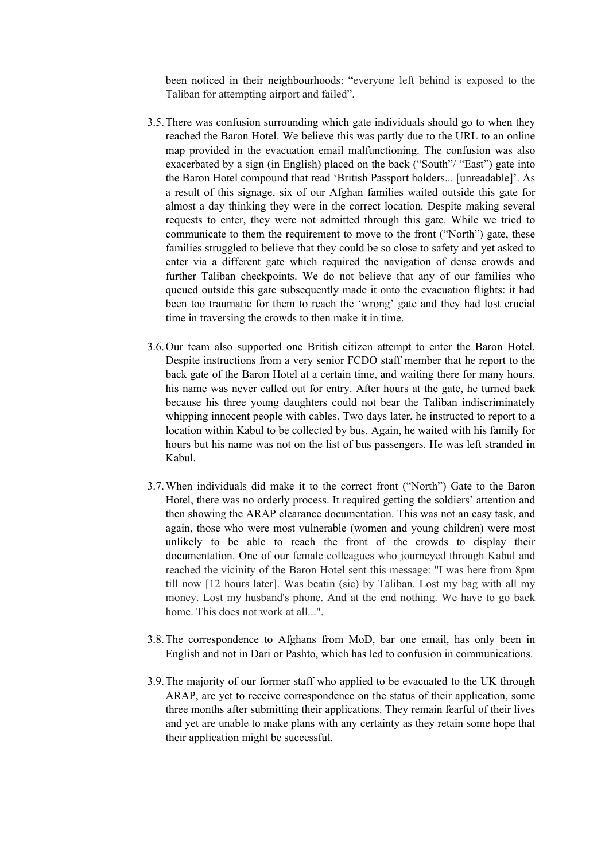been noticed in their neighbourhoods: "everyone left behind is exposed to the Taliban for attempting airport and failed".

- 3.5.There was confusion surrounding which gate individuals should go to when they reached the Baron Hotel. We believe this was partly due to the URL to an online map provided in the evacuation email malfunctioning. The confusion was also exacerbated by a sign (in English) placed on the back ("South"/ "East") gate into the Baron Hotel compound that read 'British Passport holders... [unreadable]'. As a result of this signage, six of our Afghan families waited outside this gate for almost a day thinking they were in the correct location. Despite making several requests to enter, they were not admitted through this gate. While we tried to communicate to them the requirement to move to the front ("North") gate, these families struggled to believe that they could be so close to safety and yet asked to enter via a different gate which required the navigation of dense crowds and further Taliban checkpoints. We do not believe that any of our families who queued outside this gate subsequently made it onto the evacuation flights: it had been too traumatic for them to reach the 'wrong' gate and they had lost crucial time in traversing the crowds to then make it in time.
- 3.6.Our team also supported one British citizen attempt to enter the Baron Hotel. Despite instructions from a very senior FCDO staff member that he report to the back gate of the Baron Hotel at a certain time, and waiting there for many hours, his name was never called out for entry. After hours at the gate, he turned back because his three young daughters could not bear the Taliban indiscriminately whipping innocent people with cables. Two days later, he instructed to report to a location within Kabul to be collected by bus. Again, he waited with his family for hours but his name was not on the list of bus passengers. He was left stranded in Kabul.
- 3.7.When individuals did make it to the correct front ("North") Gate to the Baron Hotel, there was no orderly process. It required getting the soldiers' attention and then showing the ARAP clearance documentation. This was not an easy task, and again, those who were most vulnerable (women and young children) were most unlikely to be able to reach the front of the crowds to display their documentation. One of our female colleagues who journeyed through Kabul and reached the vicinity of the Baron Hotel sent this message: "I was here from 8pm till now [12 hours later]. Was beatin (sic) by Taliban. Lost my bag with all my money. Lost my husband's phone. And at the end nothing. We have to go back home. This does not work at all..."
- 3.8.The correspondence to Afghans from MoD, bar one email, has only been in English and not in Dari or Pashto, which has led to confusion in communications.
- 3.9.The majority of our former staff who applied to be evacuated to the UK through ARAP, are yet to receive correspondence on the status of their application, some three months after submitting their applications. They remain fearful of their lives and yet are unable to make plans with any certainty as they retain some hope that their application might be successful.